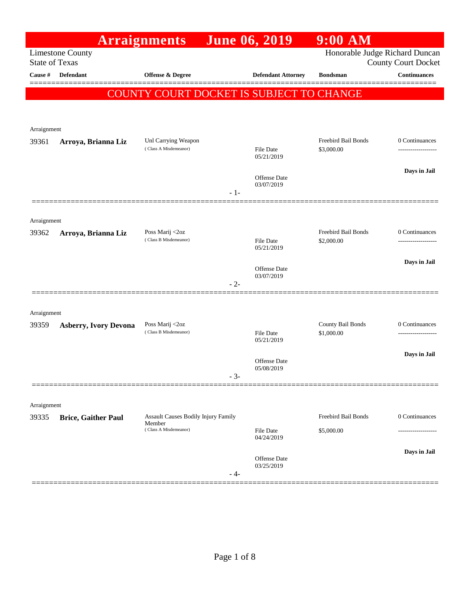|                       |                              | <b>Arraignments</b>                                  |       | June 06, 2019                            | $9:00$ AM                      |                            |
|-----------------------|------------------------------|------------------------------------------------------|-------|------------------------------------------|--------------------------------|----------------------------|
| <b>State of Texas</b> | <b>Limestone County</b>      |                                                      |       |                                          | Honorable Judge Richard Duncan | <b>County Court Docket</b> |
| Cause #               | <b>Defendant</b>             | <b>Offense &amp; Degree</b>                          |       | <b>Defendant Attorney</b>                | <b>Bondsman</b>                | <b>Continuances</b>        |
|                       |                              |                                                      |       | COUNTY COURT DOCKET IS SUBJECT TO CHANGE |                                |                            |
|                       |                              |                                                      |       |                                          |                                |                            |
|                       |                              |                                                      |       |                                          |                                |                            |
| Arraignment<br>39361  | Arroya, Brianna Liz          | Unl Carrying Weapon                                  |       |                                          | Freebird Bail Bonds            | 0 Continuances             |
|                       |                              | (Class A Misdemeanor)                                |       | <b>File Date</b><br>05/21/2019           | \$3,000.00                     |                            |
|                       |                              |                                                      |       |                                          |                                | Days in Jail               |
|                       |                              |                                                      |       | Offense Date<br>03/07/2019               |                                |                            |
|                       |                              |                                                      | $-1-$ |                                          |                                |                            |
| Arraignment           |                              |                                                      |       |                                          |                                |                            |
| 39362                 | Arroya, Brianna Liz          | Poss Marij <2oz                                      |       |                                          | <b>Freebird Bail Bonds</b>     | 0 Continuances             |
|                       |                              | (Class B Misdemeanor)                                |       | File Date<br>05/21/2019                  | \$2,000.00                     |                            |
|                       |                              |                                                      |       |                                          |                                | Days in Jail               |
|                       |                              |                                                      |       | <b>Offense Date</b><br>03/07/2019        |                                |                            |
|                       |                              |                                                      | $-2-$ |                                          |                                |                            |
| Arraignment           |                              |                                                      |       |                                          |                                |                            |
| 39359                 | <b>Asberry, Ivory Devona</b> | Poss Marij <2oz                                      |       |                                          | County Bail Bonds              | 0 Continuances             |
|                       |                              | (Class B Misdemeanor)                                |       | <b>File Date</b><br>05/21/2019           | \$1,000.00                     | -------------------        |
|                       |                              |                                                      |       | <b>Offense</b> Date                      |                                | Days in Jail               |
|                       |                              |                                                      | $-3-$ | 05/08/2019                               |                                |                            |
|                       |                              |                                                      |       |                                          |                                |                            |
| Arraignment           |                              |                                                      |       |                                          |                                |                            |
| 39335                 | <b>Brice, Gaither Paul</b>   | <b>Assault Causes Bodily Injury Family</b><br>Member |       |                                          | <b>Freebird Bail Bonds</b>     | 0 Continuances             |
|                       |                              | (Class A Misdemeanor)                                |       | File Date<br>04/24/2019                  | \$5,000.00                     |                            |
|                       |                              |                                                      |       |                                          |                                | Days in Jail               |
|                       |                              |                                                      |       | Offense Date<br>03/25/2019               |                                |                            |
|                       |                              |                                                      | - 4-  |                                          |                                |                            |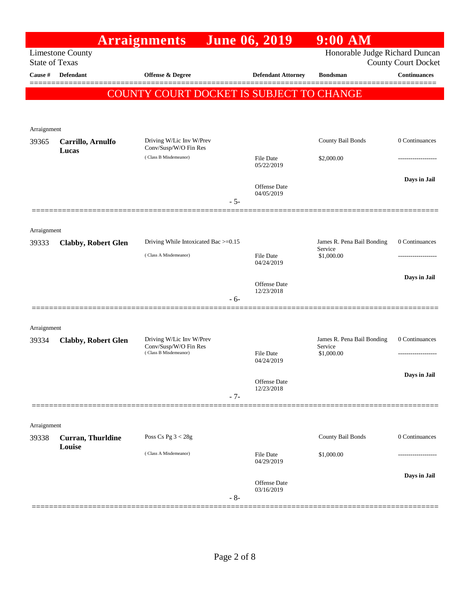|                       |                                    | <b>Arraignments</b>                               |       | <b>June 06, 2019</b>              | $9:00$ AM                             |                            |
|-----------------------|------------------------------------|---------------------------------------------------|-------|-----------------------------------|---------------------------------------|----------------------------|
| <b>State of Texas</b> | <b>Limestone County</b>            |                                                   |       |                                   | Honorable Judge Richard Duncan        | <b>County Court Docket</b> |
| Cause #               | <b>Defendant</b>                   | <b>Offense &amp; Degree</b>                       |       | <b>Defendant Attorney</b>         | <b>Bondsman</b>                       | <b>Continuances</b>        |
|                       |                                    | COUNTY COURT DOCKET IS SUBJECT TO CHANGE          |       |                                   |                                       |                            |
|                       |                                    |                                                   |       |                                   |                                       |                            |
|                       |                                    |                                                   |       |                                   |                                       |                            |
| Arraignment<br>39365  | Carrillo, Arnulfo<br>Lucas         | Driving W/Lic Inv W/Prev<br>Conv/Susp/W/O Fin Res |       |                                   | County Bail Bonds                     | 0 Continuances             |
|                       |                                    | (Class B Misdemeanor)                             |       | <b>File Date</b><br>05/22/2019    | \$2,000.00                            |                            |
|                       |                                    |                                                   |       | <b>Offense Date</b><br>04/05/2019 |                                       | Days in Jail               |
|                       |                                    |                                                   | $-5-$ |                                   |                                       |                            |
|                       |                                    |                                                   |       |                                   |                                       |                            |
| Arraignment<br>39333  | <b>Clabby, Robert Glen</b>         | Driving While Intoxicated Bac >=0.15              |       |                                   | James R. Pena Bail Bonding<br>Service | 0 Continuances             |
|                       |                                    | (Class A Misdemeanor)                             |       | <b>File Date</b><br>04/24/2019    | \$1,000.00                            |                            |
|                       |                                    |                                                   |       | Offense Date<br>12/23/2018        |                                       | Days in Jail               |
|                       |                                    |                                                   | $-6-$ |                                   |                                       |                            |
|                       |                                    |                                                   |       |                                   |                                       |                            |
| Arraignment<br>39334  | <b>Clabby, Robert Glen</b>         | Driving W/Lic Inv W/Prev                          |       |                                   | James R. Pena Bail Bonding            | 0 Continuances             |
|                       |                                    | Conv/Susp/W/O Fin Res<br>(Class B Misdemeanor)    |       | <b>File Date</b><br>04/24/2019    | Service<br>\$1,000.00                 | -----------------          |
|                       |                                    |                                                   |       |                                   |                                       | Days in Jail               |
|                       |                                    |                                                   | $-7-$ | Offense Date<br>12/23/2018        |                                       |                            |
|                       |                                    |                                                   |       |                                   |                                       |                            |
| Arraignment           |                                    |                                                   |       |                                   |                                       |                            |
| 39338                 | <b>Curran, Thurldine</b><br>Louise | Poss Cs Pg $3 < 28g$                              |       |                                   | County Bail Bonds                     | 0 Continuances             |
|                       |                                    | (Class A Misdemeanor)                             |       | <b>File Date</b><br>04/29/2019    | \$1,000.00                            |                            |
|                       |                                    |                                                   |       | Offense Date                      |                                       | Days in Jail               |
|                       |                                    |                                                   | $-8-$ | 03/16/2019                        |                                       |                            |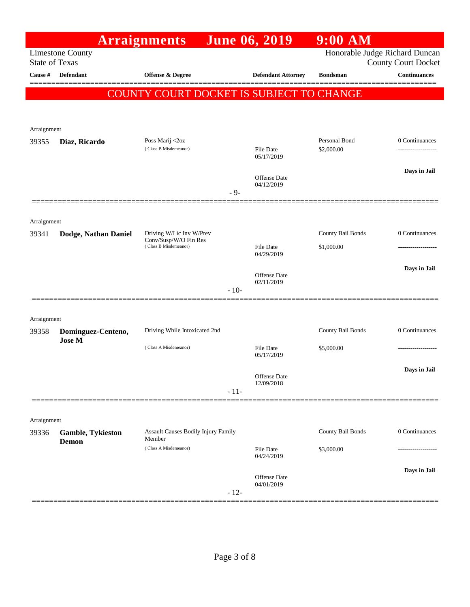|                       |                                   | <b>Arraignments</b>                                                        |        | <b>June 06, 2019</b>                     | $9:00$ AM                       |                                      |
|-----------------------|-----------------------------------|----------------------------------------------------------------------------|--------|------------------------------------------|---------------------------------|--------------------------------------|
| <b>State of Texas</b> | <b>Limestone County</b>           |                                                                            |        |                                          | Honorable Judge Richard Duncan  | <b>County Court Docket</b>           |
| Cause #               | <b>Defendant</b>                  | <b>Offense &amp; Degree</b>                                                |        | <b>Defendant Attorney</b>                | <b>Bondsman</b>                 | <b>Continuances</b>                  |
|                       |                                   | COUNTY COURT DOCKET IS SUBJECT TO CHANGE                                   |        |                                          |                                 |                                      |
| Arraignment           |                                   |                                                                            |        |                                          |                                 |                                      |
| 39355                 | Diaz, Ricardo                     | Poss Marij <2oz<br>(Class B Misdemeanor)                                   |        | <b>File Date</b><br>05/17/2019           | Personal Bond<br>\$2,000.00     | 0 Continuances<br>------------------ |
|                       |                                   |                                                                            | $-9-$  | Offense Date<br>04/12/2019               |                                 | Days in Jail                         |
| Arraignment           |                                   |                                                                            |        |                                          |                                 |                                      |
| 39341                 | Dodge, Nathan Daniel              | Driving W/Lic Inv W/Prev<br>Conv/Susp/W/O Fin Res<br>(Class B Misdemeanor) |        | File Date<br>04/29/2019                  | County Bail Bonds<br>\$1,000.00 | 0 Continuances                       |
|                       |                                   |                                                                            | $-10-$ | Offense Date<br>02/11/2019               |                                 | Days in Jail                         |
| Arraignment           |                                   |                                                                            |        |                                          |                                 |                                      |
| 39358                 | Dominguez-Centeno,                | Driving While Intoxicated 2nd                                              |        |                                          | County Bail Bonds               | 0 Continuances                       |
|                       | <b>Jose M</b>                     | (Class A Misdemeanor)                                                      |        | File Date<br>05/17/2019                  | \$5,000.00                      |                                      |
|                       |                                   |                                                                            | $-11-$ | Offense Date<br>12/09/2018               |                                 | Days in Jail                         |
| Arraignment           |                                   |                                                                            |        |                                          |                                 |                                      |
| 39336                 | Gamble, Tykieston<br><b>Demon</b> | Assault Causes Bodily Injury Family<br>Member<br>(Class A Misdemeanor)     |        | <b>File Date</b>                         | County Bail Bonds<br>\$3,000.00 | 0 Continuances                       |
|                       | ========================          |                                                                            | $-12-$ | 04/24/2019<br>Offense Date<br>04/01/2019 |                                 | Days in Jail                         |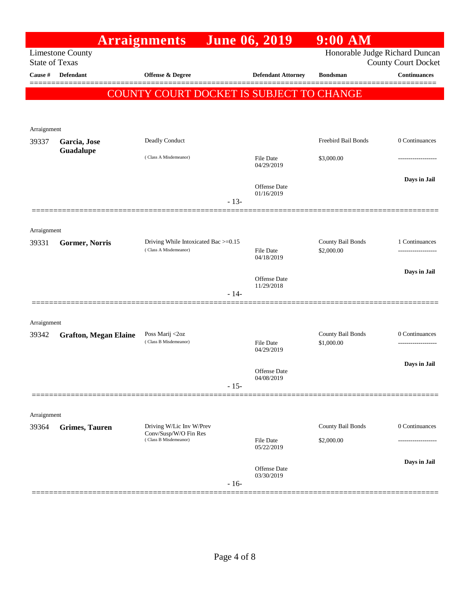|                       |                              | <b>Arraignments</b>                               |        | <b>June 06, 2019</b>                     | 9:00 AM                         |                            |
|-----------------------|------------------------------|---------------------------------------------------|--------|------------------------------------------|---------------------------------|----------------------------|
| <b>State of Texas</b> | <b>Limestone County</b>      |                                                   |        |                                          | Honorable Judge Richard Duncan  | <b>County Court Docket</b> |
| Cause #               | <b>Defendant</b>             | Offense & Degree                                  |        | <b>Defendant Attorney</b>                | <b>Bondsman</b>                 | <b>Continuances</b>        |
|                       |                              |                                                   |        | COUNTY COURT DOCKET IS SUBJECT TO CHANGE |                                 |                            |
|                       |                              |                                                   |        |                                          |                                 |                            |
| Arraignment           |                              |                                                   |        |                                          |                                 |                            |
| 39337                 | Garcia, Jose<br>Guadalupe    | Deadly Conduct                                    |        |                                          | Freebird Bail Bonds             | 0 Continuances             |
|                       |                              | (Class A Misdemeanor)                             |        | File Date<br>04/29/2019                  | \$3,000.00                      |                            |
|                       |                              |                                                   | $-13-$ | Offense Date<br>01/16/2019               |                                 | Days in Jail               |
|                       |                              |                                                   |        |                                          |                                 |                            |
| Arraignment           |                              |                                                   |        |                                          |                                 |                            |
| 39331                 | Gormer, Norris               | Driving While Intoxicated Bac >=0.15              |        |                                          | County Bail Bonds               | 1 Continuances             |
|                       |                              | (Class A Misdemeanor)                             |        | File Date<br>04/18/2019                  | \$2,000.00                      | ------------------         |
|                       |                              |                                                   |        | <b>Offense</b> Date                      |                                 | Days in Jail               |
|                       |                              |                                                   | $-14-$ | 11/29/2018                               |                                 |                            |
|                       |                              |                                                   |        |                                          |                                 |                            |
| Arraignment           |                              |                                                   |        |                                          |                                 |                            |
| 39342                 | <b>Grafton, Megan Elaine</b> | Poss Marij <2oz<br>(Class B Misdemeanor)          |        | <b>File Date</b>                         | County Bail Bonds<br>\$1,000.00 | 0 Continuances<br>.        |
|                       |                              |                                                   |        | 04/29/2019                               |                                 |                            |
|                       |                              |                                                   |        | Offense Date                             |                                 | Days in Jail               |
|                       |                              |                                                   | $-15-$ | 04/08/2019                               |                                 |                            |
|                       |                              |                                                   |        |                                          |                                 |                            |
| Arraignment           |                              |                                                   |        |                                          |                                 |                            |
| 39364                 | <b>Grimes, Tauren</b>        | Driving W/Lic Inv W/Prev<br>Conv/Susp/W/O Fin Res |        |                                          | County Bail Bonds               | 0 Continuances             |
|                       |                              | (Class B Misdemeanor)                             |        | <b>File Date</b><br>05/22/2019           | \$2,000.00                      |                            |
|                       |                              |                                                   |        | Offense Date                             |                                 | Days in Jail               |
|                       |                              |                                                   | $-16-$ | 03/30/2019                               |                                 |                            |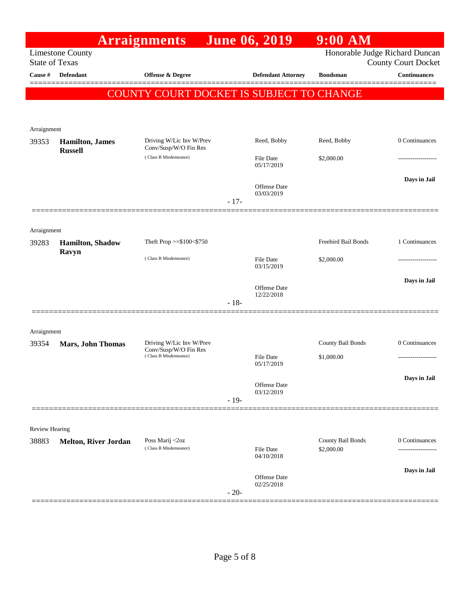|                       |                                   | <b>Arraignments</b>                               |        | <b>June 06, 2019</b>              | $9:00$ AM                       |                            |
|-----------------------|-----------------------------------|---------------------------------------------------|--------|-----------------------------------|---------------------------------|----------------------------|
| <b>State of Texas</b> | <b>Limestone County</b>           |                                                   |        |                                   | Honorable Judge Richard Duncan  | <b>County Court Docket</b> |
| Cause #               | <b>Defendant</b>                  | <b>Offense &amp; Degree</b>                       |        | <b>Defendant Attorney</b>         | <b>Bondsman</b>                 | <b>Continuances</b>        |
|                       |                                   | COUNTY COURT DOCKET IS SUBJECT TO CHANGE          |        |                                   |                                 |                            |
| Arraignment           |                                   |                                                   |        |                                   |                                 |                            |
| 39353                 | <b>Hamilton</b> , James           | Driving W/Lic Inv W/Prev<br>Conv/Susp/W/O Fin Res |        | Reed, Bobby                       | Reed, Bobby                     | 0 Continuances             |
|                       | <b>Russell</b>                    | (Class B Misdemeanor)                             |        | File Date<br>05/17/2019           | \$2,000.00                      |                            |
|                       |                                   |                                                   | $-17-$ | <b>Offense</b> Date<br>03/03/2019 |                                 | Days in Jail               |
|                       |                                   |                                                   |        |                                   |                                 |                            |
| Arraignment           |                                   |                                                   |        |                                   |                                 |                            |
| 39283                 | <b>Hamilton</b> , Shadow<br>Ravyn | Theft Prop >=\$100<\$750                          |        |                                   | Freebird Bail Bonds             | 1 Continuances             |
|                       |                                   | (Class B Misdemeanor)                             |        | <b>File Date</b><br>03/15/2019    | \$2,000.00                      |                            |
|                       |                                   |                                                   | $-18-$ | <b>Offense</b> Date<br>12/22/2018 |                                 | Days in Jail               |
| Arraignment           |                                   |                                                   |        |                                   |                                 |                            |
| 39354                 | <b>Mars, John Thomas</b>          | Driving W/Lic Inv W/Prev<br>Conv/Susp/W/O Fin Res |        |                                   | County Bail Bonds               | 0 Continuances             |
|                       |                                   | (Class B Misdemeanor)                             |        | File Date<br>05/17/2019           | \$1,000.00                      |                            |
|                       |                                   |                                                   |        | Offense Date                      |                                 | Days in Jail               |
|                       |                                   |                                                   | $-19-$ | 03/12/2019                        |                                 |                            |
| Review Hearing        |                                   |                                                   |        |                                   |                                 |                            |
| 38883                 | <b>Melton, River Jordan</b>       | Poss Marij <2oz<br>(Class B Misdemeanor)          |        | File Date<br>04/10/2018           | County Bail Bonds<br>\$2,000.00 | 0 Continuances<br>.        |
|                       |                                   |                                                   |        | Offense Date<br>02/25/2018        |                                 | Days in Jail               |
|                       |                                   |                                                   | $-20-$ |                                   |                                 |                            |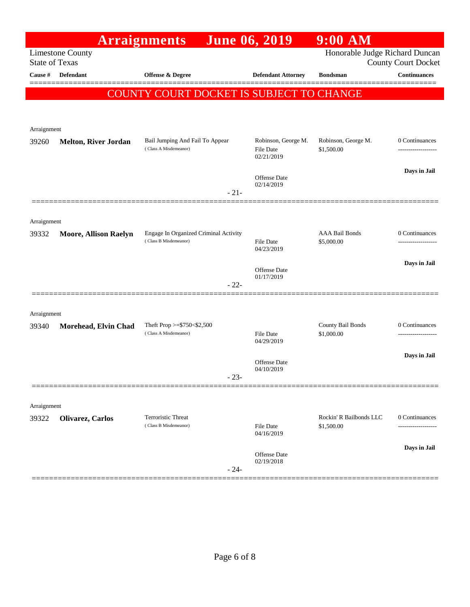|                       |                              | <b>Arraignments</b>                                      | <b>June 06, 2019</b>              | $9:00$ AM                             |                                     |
|-----------------------|------------------------------|----------------------------------------------------------|-----------------------------------|---------------------------------------|-------------------------------------|
| <b>State of Texas</b> | <b>Limestone County</b>      |                                                          |                                   | Honorable Judge Richard Duncan        | <b>County Court Docket</b>          |
| Cause #               | Defendant                    | <b>Offense &amp; Degree</b>                              | <b>Defendant Attorney</b>         | <b>Bondsman</b>                       | <b>Continuances</b>                 |
|                       |                              | COUNTY COURT DOCKET IS SUBJECT TO CHANGE                 |                                   |                                       |                                     |
|                       |                              |                                                          |                                   |                                       |                                     |
|                       |                              |                                                          |                                   |                                       |                                     |
| Arraignment<br>39260  | <b>Melton, River Jordan</b>  | Bail Jumping And Fail To Appear                          | Robinson, George M.               | Robinson, George M.                   | 0 Continuances                      |
|                       |                              | (Class A Misdemeanor)                                    | <b>File Date</b><br>02/21/2019    | \$1,500.00                            | -------------------                 |
|                       |                              |                                                          |                                   |                                       | Days in Jail                        |
|                       |                              |                                                          | <b>Offense</b> Date<br>02/14/2019 |                                       |                                     |
|                       |                              | $-21-$                                                   |                                   |                                       |                                     |
|                       |                              |                                                          |                                   |                                       |                                     |
| Arraignment<br>39332  | <b>Moore, Allison Raelyn</b> | Engage In Organized Criminal Activity                    |                                   | <b>AAA Bail Bonds</b>                 | 0 Continuances                      |
|                       |                              | (Class B Misdemeanor)                                    | <b>File Date</b><br>04/23/2019    | \$5,000.00                            |                                     |
|                       |                              |                                                          |                                   |                                       | Days in Jail                        |
|                       |                              |                                                          | Offense Date<br>01/17/2019        |                                       |                                     |
|                       |                              | $-22-$                                                   |                                   |                                       |                                     |
|                       |                              |                                                          |                                   |                                       |                                     |
| Arraignment           |                              |                                                          |                                   |                                       |                                     |
| 39340                 | Morehead, Elvin Chad         | Theft Prop $>=$ \$750 < \$2,500<br>(Class A Misdemeanor) | <b>File Date</b>                  | County Bail Bonds<br>\$1,000.00       | 0 Continuances<br>----------------- |
|                       |                              |                                                          | 04/29/2019                        |                                       |                                     |
|                       |                              |                                                          | Offense Date<br>04/10/2019        |                                       | Days in Jail                        |
|                       |                              | $-23-$                                                   |                                   |                                       |                                     |
|                       |                              |                                                          |                                   |                                       |                                     |
| Arraignment           |                              |                                                          |                                   |                                       |                                     |
| 39322                 | Olivarez, Carlos             | Terroristic Threat<br>(Class B Misdemeanor)              | <b>File Date</b><br>04/16/2019    | Rockin' R Bailbonds LLC<br>\$1,500.00 | 0 Continuances                      |
|                       |                              |                                                          |                                   |                                       | Days in Jail                        |
|                       |                              | $-24-$                                                   | Offense Date<br>02/19/2018        |                                       |                                     |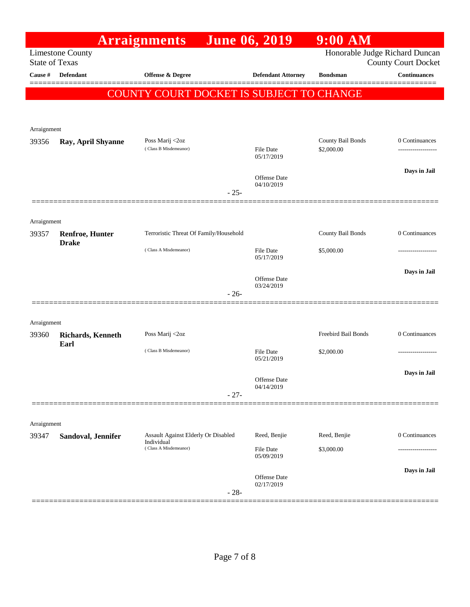| <b>Limestone County</b><br><b>Defendant</b><br>Ray, April Shyanne | <b>Arraignments</b><br>Offense & Degree<br>COUNTY COURT DOCKET IS SUBJECT TO CHANGE<br>Poss Marij <2oz<br>(Class B Misdemeanor) |            | <b>Defendant Attorney</b><br><b>File Date</b><br>05/17/2019 | Honorable Judge Richard Duncan<br><b>Bondsman</b><br>County Bail Bonds<br>\$2,000.00 | <b>County Court Docket</b><br><b>Continuances</b><br>0 Continuances |
|-------------------------------------------------------------------|---------------------------------------------------------------------------------------------------------------------------------|------------|-------------------------------------------------------------|--------------------------------------------------------------------------------------|---------------------------------------------------------------------|
|                                                                   |                                                                                                                                 |            |                                                             |                                                                                      |                                                                     |
|                                                                   |                                                                                                                                 |            |                                                             |                                                                                      |                                                                     |
|                                                                   |                                                                                                                                 |            |                                                             |                                                                                      |                                                                     |
|                                                                   |                                                                                                                                 |            |                                                             |                                                                                      |                                                                     |
|                                                                   |                                                                                                                                 |            |                                                             |                                                                                      |                                                                     |
|                                                                   |                                                                                                                                 |            |                                                             |                                                                                      |                                                                     |
|                                                                   |                                                                                                                                 |            |                                                             |                                                                                      |                                                                     |
|                                                                   |                                                                                                                                 |            | Offense Date                                                |                                                                                      | Days in Jail                                                        |
|                                                                   |                                                                                                                                 | $-25-$     | 04/10/2019                                                  |                                                                                      |                                                                     |
|                                                                   |                                                                                                                                 |            |                                                             |                                                                                      |                                                                     |
|                                                                   |                                                                                                                                 |            |                                                             |                                                                                      |                                                                     |
| <b>Renfroe, Hunter</b>                                            | Terroristic Threat Of Family/Household                                                                                          |            |                                                             | County Bail Bonds                                                                    | 0 Continuances                                                      |
| <b>Drake</b>                                                      | (Class A Misdemeanor)                                                                                                           |            | <b>File Date</b><br>05/17/2019                              | \$5,000.00                                                                           |                                                                     |
|                                                                   |                                                                                                                                 |            | Offense Date<br>03/24/2019                                  |                                                                                      | Days in Jail                                                        |
|                                                                   |                                                                                                                                 | $-26-$     |                                                             |                                                                                      |                                                                     |
|                                                                   |                                                                                                                                 |            |                                                             |                                                                                      |                                                                     |
|                                                                   | Poss Marij <2oz                                                                                                                 |            |                                                             | Freebird Bail Bonds                                                                  | 0 Continuances                                                      |
| <b>Richards</b> , Kenneth                                         |                                                                                                                                 |            |                                                             |                                                                                      |                                                                     |
|                                                                   | (Class B Misdemeanor)                                                                                                           |            | <b>File Date</b><br>05/21/2019                              | \$2,000.00                                                                           |                                                                     |
|                                                                   |                                                                                                                                 |            |                                                             |                                                                                      | Days in Jail                                                        |
|                                                                   |                                                                                                                                 |            | 04/14/2019                                                  |                                                                                      |                                                                     |
|                                                                   |                                                                                                                                 |            |                                                             |                                                                                      |                                                                     |
|                                                                   |                                                                                                                                 |            |                                                             |                                                                                      |                                                                     |
| Sandoval, Jennifer                                                |                                                                                                                                 |            | Reed, Benjie                                                | Reed, Benjie                                                                         | 0 Continuances                                                      |
|                                                                   | (Class A Misdemeanor)                                                                                                           |            | <b>File Date</b><br>05/09/2019                              | \$3,000.00                                                                           |                                                                     |
|                                                                   |                                                                                                                                 |            | Offense Date<br>02/17/2019                                  |                                                                                      | Days in Jail                                                        |
|                                                                   |                                                                                                                                 | Individual | $-27-$<br>Assault Against Elderly Or Disabled<br>$-28-$     | Offense Date                                                                         |                                                                     |